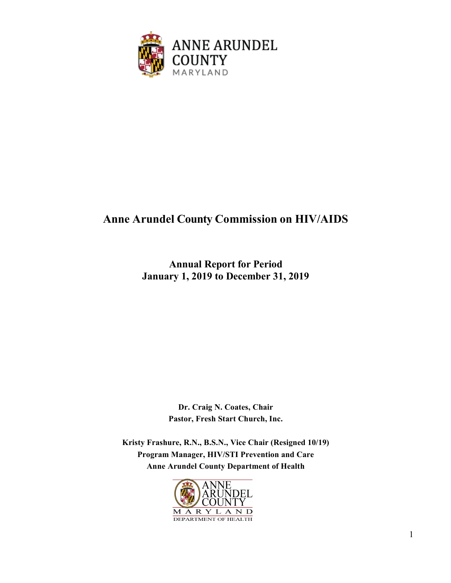

# **Anne Arundel County Commission on HIV/AIDS**

**Annual Report for Period January 1, 2019 to December 31, 2019**

> **Dr. Craig N. Coates, Chair Pastor, Fresh Start Church, Inc.**

**Kristy Frashure, R.N., B.S.N., Vice Chair (Resigned 10/19) Program Manager, HIV/STI Prevention and Care Anne Arundel County Department of Health**

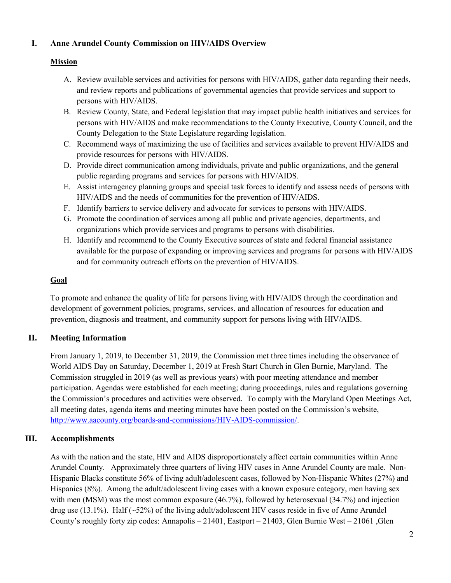#### **I. Anne Arundel County Commission on HIV/AIDS Overview**

### **Mission**

- A. Review available services and activities for persons with HIV/AIDS, gather data regarding their needs, and review reports and publications of governmental agencies that provide services and support to persons with HIV/AIDS.
- B. Review County, State, and Federal legislation that may impact public health initiatives and services for persons with HIV/AIDS and make recommendations to the County Executive, County Council, and the County Delegation to the State Legislature regarding legislation.
- C. Recommend ways of maximizing the use of facilities and services available to prevent HIV/AIDS and provide resources for persons with HIV/AIDS.
- D. Provide direct communication among individuals, private and public organizations, and the general public regarding programs and services for persons with HIV/AIDS.
- E. Assist interagency planning groups and special task forces to identify and assess needs of persons with HIV/AIDS and the needs of communities for the prevention of HIV/AIDS.
- F. Identify barriers to service delivery and advocate for services to persons with HIV/AIDS.
- G. Promote the coordination of services among all public and private agencies, departments, and organizations which provide services and programs to persons with disabilities.
- H. Identify and recommend to the County Executive sources of state and federal financial assistance available for the purpose of expanding or improving services and programs for persons with HIV/AIDS and for community outreach efforts on the prevention of HIV/AIDS.

### **Goal**

To promote and enhance the quality of life for persons living with HIV/AIDS through the coordination and development of government policies, programs, services, and allocation of resources for education and prevention, diagnosis and treatment, and community support for persons living with HIV/AIDS.

### **II. Meeting Information**

From January 1, 2019, to December 31, 2019, the Commission met three times including the observance of World AIDS Day on Saturday, December 1, 2019 at Fresh Start Church in Glen Burnie, Maryland. The Commission struggled in 2019 (as well as previous years) with poor meeting attendance and member participation. Agendas were established for each meeting; during proceedings, rules and regulations governing the Commission's procedures and activities were observed. To comply with the Maryland Open Meetings Act, all meeting dates, agenda items and meeting minutes have been posted on the Commission's website, [http://www.aacounty.org/boards-and-commissions/HIV-AIDS-commission/.](http://www.aacounty.org/boards-and-commissions/HIV-AIDS-commission/)

### **III. Accomplishments**

As with the nation and the state, HIV and AIDS disproportionately affect certain communities within Anne Arundel County. Approximately three quarters of living HIV cases in Anne Arundel County are male. Non-Hispanic Blacks constitute 56% of living adult/adolescent cases, followed by Non-Hispanic Whites (27%) and Hispanics (8%). Among the adult/adolescent living cases with a known exposure category, men having sex with men (MSM) was the most common exposure (46.7%), followed by heterosexual (34.7%) and injection drug use (13.1%). Half (~52%) of the living adult/adolescent HIV cases reside in five of Anne Arundel County's roughly forty zip codes: Annapolis – 21401, Eastport – 21403, Glen Burnie West – 21061 ,Glen